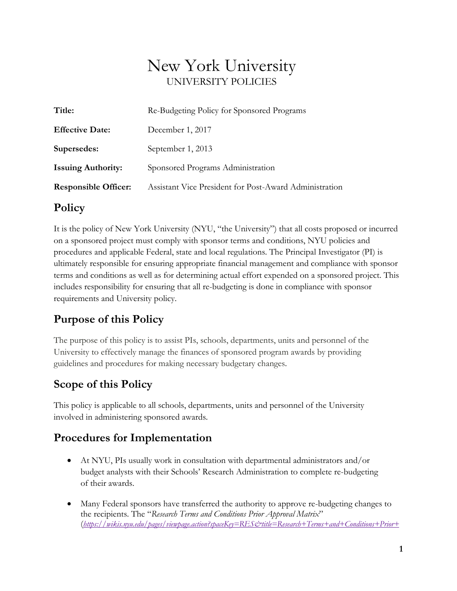# New York University UNIVERSITY POLICIES

| Title:                      | Re-Budgeting Policy for Sponsored Programs             |
|-----------------------------|--------------------------------------------------------|
| <b>Effective Date:</b>      | December 1, 2017                                       |
| Supersedes:                 | September 1, 2013                                      |
| <b>Issuing Authority:</b>   | Sponsored Programs Administration                      |
| <b>Responsible Officer:</b> | Assistant Vice President for Post-Award Administration |

### **Policy**

It is the policy of New York University (NYU, "the University") that all costs proposed or incurred on a sponsored project must comply with sponsor terms and conditions, NYU policies and procedures and applicable Federal, state and local regulations. The Principal Investigator (PI) is ultimately responsible for ensuring appropriate financial management and compliance with sponsor terms and conditions as well as for determining actual effort expended on a sponsored project. This includes responsibility for ensuring that all re-budgeting is done in compliance with sponsor requirements and University policy.

## **Purpose of this Policy**

The purpose of this policy is to assist PIs, schools, departments, units and personnel of the University to effectively manage the finances of sponsored program awards by providing guidelines and procedures for making necessary budgetary changes.

## **Scope of this Policy**

This policy is applicable to all schools, departments, units and personnel of the University involved in administering sponsored awards.

## **Procedures for Implementation**

- At NYU, PIs usually work in consultation with departmental administrators and/or budget analysts with their Schools' Research Administration to complete re-budgeting of their awards.
- Many Federal sponsors have transferred the authority to approve re-budgeting changes to the recipients. The "*Research Terms and Conditions Prior Approval Matrix*" (*[https://wikis.nyu.edu/pages/viewpage.action?spaceKey=RES&title=Research+Terms+and+Conditions+Prior+](https://wikis.nyu.edu/pages/viewpage.action?spaceKey=RES&title=Research+Terms+and+Conditions+Prior+Approval+Matrix)*